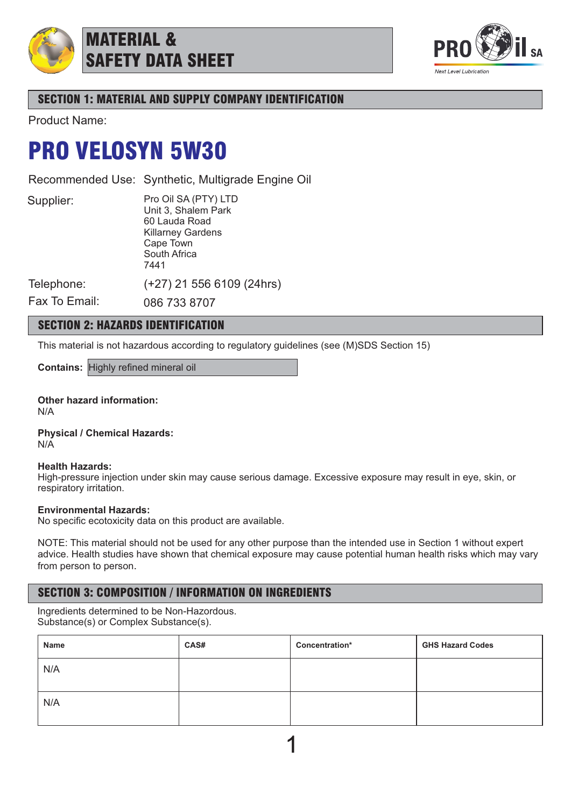

MATERIAL & SAFETY DATA SHEET



# SECTION 1: MATERIAL AND SUPPLY COMPANY IDENTIFICATION

Product Name:

# PRO VELOSYN 5W30

Recommended Use: Synthetic, Multigrade Engine Oil

Supplier:

Pro Oil SA (PTY) LTD Unit 3, Shalem Park 60 Lauda Road Killarney Gardens Cape Town South Africa 7441 (+27) 21 556 6109 (24hrs)

Telephone: Fax To Email:

086 733 8707

# SECTION 2: HAZARDS IDENTIFICATION

This material is not hazardous according to regulatory guidelines (see (M)SDS Section 15)

**Contains:** Highly refined mineral oil

**Other hazard information:** N/A

**Physical / Chemical Hazards:** N/A

### **Health Hazards:**

High-pressure injection under skin may cause serious damage. Excessive exposure may result in eye, skin, or respiratory irritation.

### **Environmental Hazards:**

No specific ecotoxicity data on this product are available.

NOTE: This material should not be used for any other purpose than the intended use in Section 1 without expert advice. Health studies have shown that chemical exposure may cause potential human health risks which may vary from person to person.

## SECTION 3: COMPOSITION / INFORMATION ON INGREDIENTS

Ingredients determined to be Non-Hazordous. Substance(s) or Complex Substance(s).

| Name | CAS# | Concentration* | <b>GHS Hazard Codes</b> |
|------|------|----------------|-------------------------|
| N/A  |      |                |                         |
| N/A  |      |                |                         |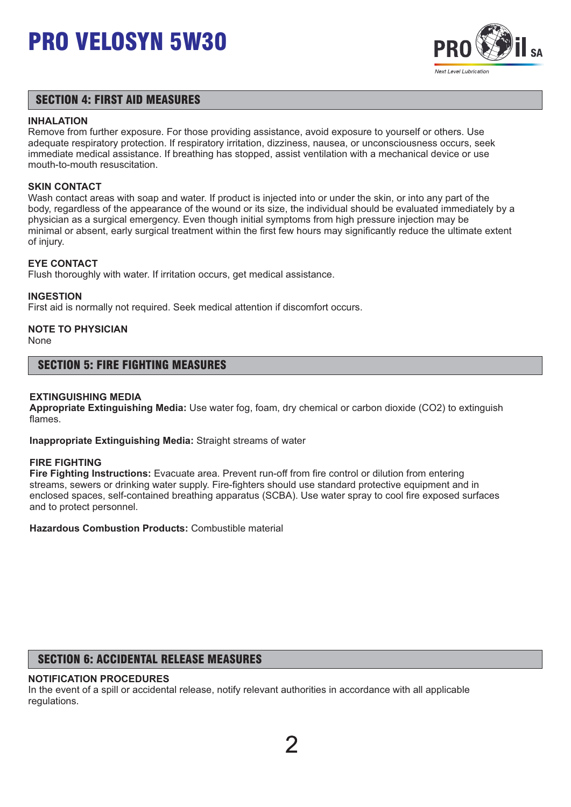

## SECTION 4: FIRST AID MEASURES

#### **INHALATION**

Remove from further exposure. For those providing assistance, avoid exposure to yourself or others. Use adequate respiratory protection. If respiratory irritation, dizziness, nausea, or unconsciousness occurs, seek immediate medical assistance. If breathing has stopped, assist ventilation with a mechanical device or use mouth-to-mouth resuscitation.

## **SKIN CONTACT**

Wash contact areas with soap and water. If product is injected into or under the skin, or into any part of the body, regardless of the appearance of the wound or its size, the individual should be evaluated immediately by a physician as a surgical emergency. Even though initial symptoms from high pressure injection may be minimal or absent, early surgical treatment within the first few hours may significantly reduce the ultimate extent of injury.

## **EYE CONTACT**

Flush thoroughly with water. If irritation occurs, get medical assistance.

### **INGESTION**

First aid is normally not required. Seek medical attention if discomfort occurs.

# **NOTE TO PHYSICIAN**

None

## SECTION 5: FIRE FIGHTING MEASURES

### **EXTINGUISHING MEDIA**

**Appropriate Extinguishing Media:** Use water fog, foam, dry chemical or carbon dioxide (CO2) to extinguish flames.

**Inappropriate Extinguishing Media:** Straight streams of water

#### **FIRE FIGHTING**

**Fire Fighting Instructions:** Evacuate area. Prevent run-off from fire control or dilution from entering streams, sewers or drinking water supply. Fire-fighters should use standard protective equipment and in enclosed spaces, self-contained breathing apparatus (SCBA). Use water spray to cool fire exposed surfaces and to protect personnel.

**Hazardous Combustion Products:** Combustible material

## SECTION 6: ACCIDENTAL RELEASE MEASURES

## **NOTIFICATION PROCEDURES**

In the event of a spill or accidental release, notify relevant authorities in accordance with all applicable regulations.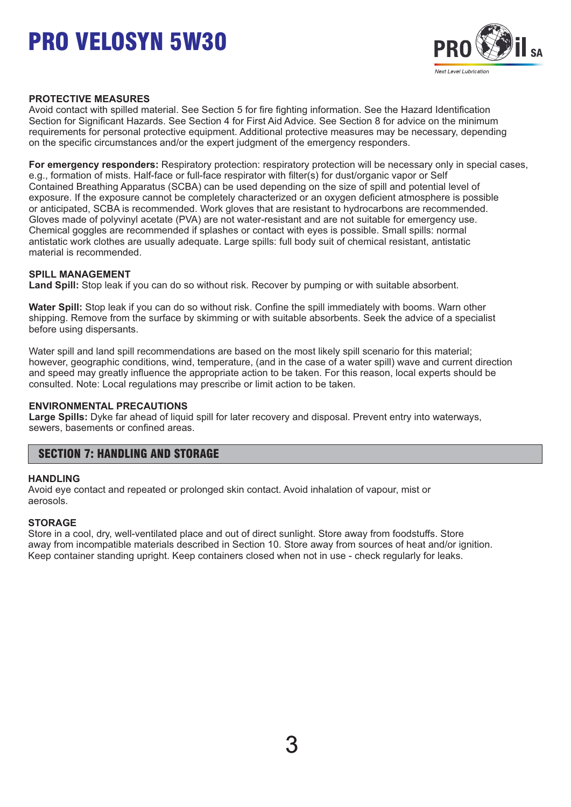

## **PROTECTIVE MEASURES**

Avoid contact with spilled material. See Section 5 for fire fighting information. See the Hazard Identification Section for Significant Hazards. See Section 4 for First Aid Advice. See Section 8 for advice on the minimum requirements for personal protective equipment. Additional protective measures may be necessary, depending on the specific circumstances and/or the expert judgment of the emergency responders.

**For emergency responders:** Respiratory protection: respiratory protection will be necessary only in special cases, e.g., formation of mists. Half-face or full-face respirator with filter(s) for dust/organic vapor or Self Contained Breathing Apparatus (SCBA) can be used depending on the size of spill and potential level of exposure. If the exposure cannot be completely characterized or an oxygen deficient atmosphere is possible or anticipated, SCBA is recommended. Work gloves that are resistant to hydrocarbons are recommended. Gloves made of polyvinyl acetate (PVA) are not water-resistant and are not suitable for emergency use. Chemical goggles are recommended if splashes or contact with eyes is possible. Small spills: normal antistatic work clothes are usually adequate. Large spills: full body suit of chemical resistant, antistatic material is recommended.

### **SPILL MANAGEMENT**

**Land Spill:** Stop leak if you can do so without risk. Recover by pumping or with suitable absorbent.

**Water Spill:** Stop leak if you can do so without risk. Confine the spill immediately with booms. Warn other shipping. Remove from the surface by skimming or with suitable absorbents. Seek the advice of a specialist before using dispersants.

Water spill and land spill recommendations are based on the most likely spill scenario for this material; however, geographic conditions, wind, temperature, (and in the case of a water spill) wave and current direction and speed may greatly influence the appropriate action to be taken. For this reason, local experts should be consulted. Note: Local regulations may prescribe or limit action to be taken.

#### **ENVIRONMENTAL PRECAUTIONS**

**Large Spills:** Dyke far ahead of liquid spill for later recovery and disposal. Prevent entry into waterways, sewers, basements or confined areas.

## SECTION 7: HANDLING AND STORAGE

#### **HANDLING**

Avoid eye contact and repeated or prolonged skin contact. Avoid inhalation of vapour, mist or aerosols.

### **STORAGE**

Store in a cool, dry, well-ventilated place and out of direct sunlight. Store away from foodstuffs. Store away from incompatible materials described in Section 10. Store away from sources of heat and/or ignition. Keep container standing upright. Keep containers closed when not in use - check regularly for leaks.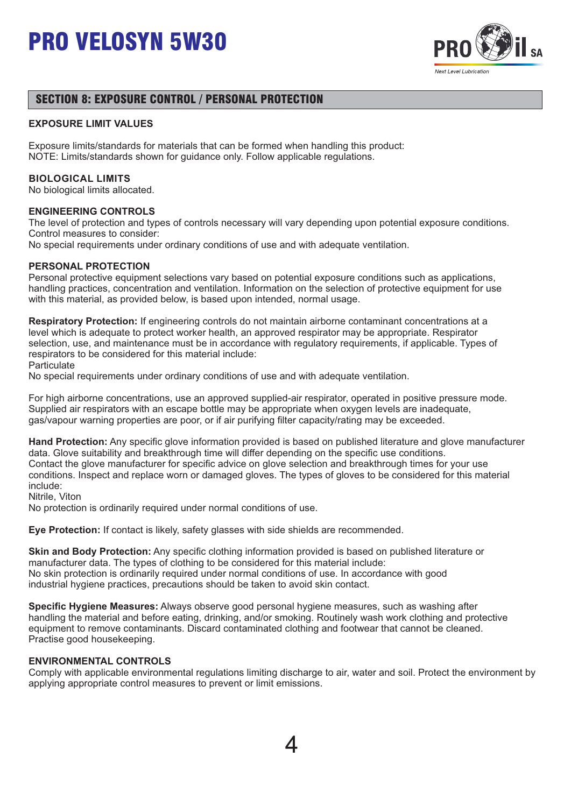

## SECTION 8: EXPOSURE CONTROL / PERSONAL PROTECTION

## **EXPOSURE LIMIT VALUES**

Exposure limits/standards for materials that can be formed when handling this product: NOTE: Limits/standards shown for guidance only. Follow applicable regulations.

### **BIOLOGICAL LIMITS**

No biological limits allocated.

### **ENGINEERING CONTROLS**

The level of protection and types of controls necessary will vary depending upon potential exposure conditions. Control measures to consider:

No special requirements under ordinary conditions of use and with adequate ventilation.

### **PERSONAL PROTECTION**

Personal protective equipment selections vary based on potential exposure conditions such as applications, handling practices, concentration and ventilation. Information on the selection of protective equipment for use with this material, as provided below, is based upon intended, normal usage.

**Respiratory Protection:** If engineering controls do not maintain airborne contaminant concentrations at a level which is adequate to protect worker health, an approved respirator may be appropriate. Respirator selection, use, and maintenance must be in accordance with regulatory requirements, if applicable. Types of respirators to be considered for this material include:

**Particulate** 

No special requirements under ordinary conditions of use and with adequate ventilation.

For high airborne concentrations, use an approved supplied-air respirator, operated in positive pressure mode. Supplied air respirators with an escape bottle may be appropriate when oxygen levels are inadequate, gas/vapour warning properties are poor, or if air purifying filter capacity/rating may be exceeded.

**Hand Protection:** Any specific glove information provided is based on published literature and glove manufacturer data. Glove suitability and breakthrough time will differ depending on the specific use conditions. Contact the glove manufacturer for specific advice on glove selection and breakthrough times for your use conditions. Inspect and replace worn or damaged gloves. The types of gloves to be considered for this material include:

Nitrile, Viton

No protection is ordinarily required under normal conditions of use.

**Eye Protection:** If contact is likely, safety glasses with side shields are recommended.

**Skin and Body Protection:** Any specific clothing information provided is based on published literature or manufacturer data. The types of clothing to be considered for this material include: No skin protection is ordinarily required under normal conditions of use. In accordance with good industrial hygiene practices, precautions should be taken to avoid skin contact.

**Specific Hygiene Measures:** Always observe good personal hygiene measures, such as washing after handling the material and before eating, drinking, and/or smoking. Routinely wash work clothing and protective equipment to remove contaminants. Discard contaminated clothing and footwear that cannot be cleaned. Practise good housekeeping.

### **ENVIRONMENTAL CONTROLS**

Comply with applicable environmental regulations limiting discharge to air, water and soil. Protect the environment by applying appropriate control measures to prevent or limit emissions.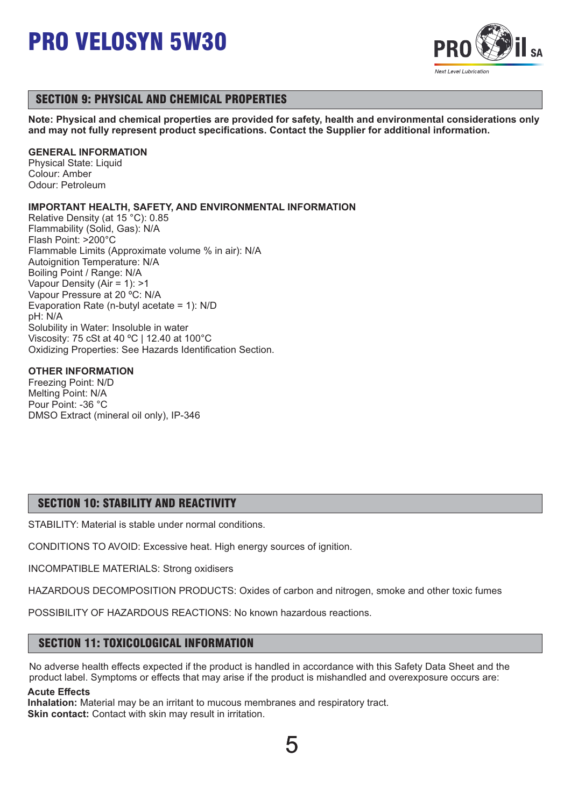

## SECTION 9: PHYSICAL AND CHEMICAL PROPERTIES

**Note: Physical and chemical properties are provided for safety, health and environmental considerations only and may not fully represent product specifications. Contact the Supplier for additional information.**

## **GENERAL INFORMATION**

Physical State: Liquid Colour: Amber Odour: Petroleum

## **IMPORTANT HEALTH, SAFETY, AND ENVIRONMENTAL INFORMATION**

Relative Density (at 15 °C): 0.85 Flammability (Solid, Gas): N/A Flash Point: >200°C Flammable Limits (Approximate volume % in air): N/A Autoignition Temperature: N/A Boiling Point / Range: N/A Vapour Density (Air = 1): >1 Vapour Pressure at 20 ºC: N/A Evaporation Rate (n-butyl acetate = 1): N/D pH: N/A Solubility in Water: Insoluble in water Viscosity: 75 cSt at 40 ºC | 12.40 at 100°C Oxidizing Properties: See Hazards Identification Section.

## **OTHER INFORMATION**

Freezing Point: N/D Melting Point: N/A Pour Point: -36 °C DMSO Extract (mineral oil only), IP-346

## SECTION 10: STABILITY AND REACTIVITY

STABILITY: Material is stable under normal conditions.

CONDITIONS TO AVOID: Excessive heat. High energy sources of ignition.

INCOMPATIBLE MATERIALS: Strong oxidisers

HAZARDOUS DECOMPOSITION PRODUCTS: Oxides of carbon and nitrogen, smoke and other toxic fumes

POSSIBILITY OF HAZARDOUS REACTIONS: No known hazardous reactions.

## SECTION 11: TOXICOLOGICAL INFORMATION

No adverse health effects expected if the product is handled in accordance with this Safety Data Sheet and the product label. Symptoms or effects that may arise if the product is mishandled and overexposure occurs are:

## **Acute Effects**

**Inhalation:** Material may be an irritant to mucous membranes and respiratory tract. **Skin contact:** Contact with skin may result in irritation.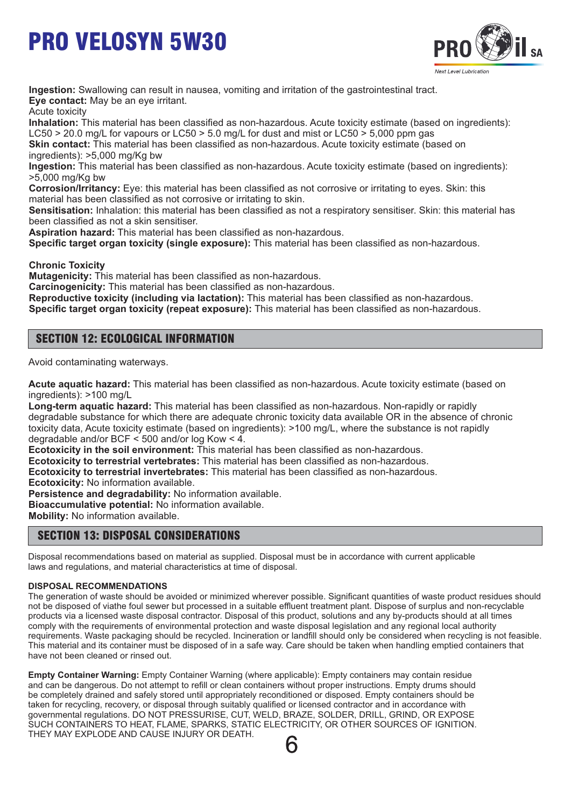

**Ingestion:** Swallowing can result in nausea, vomiting and irritation of the gastrointestinal tract. **Eye contact:** May be an eye irritant.

Acute toxicity

**Inhalation:** This material has been classified as non-hazardous. Acute toxicity estimate (based on ingredients): LC50  $>$  20.0 mg/L for vapours or LC50  $>$  5.0 mg/L for dust and mist or LC50  $>$  5,000 ppm gas

**Skin contact:** This material has been classified as non-hazardous. Acute toxicity estimate (based on ingredients): >5,000 mg/Kg bw

**Ingestion:** This material has been classified as non-hazardous. Acute toxicity estimate (based on ingredients): >5,000 mg/Kg bw

**Corrosion/Irritancy:** Eye: this material has been classified as not corrosive or irritating to eyes. Skin: this material has been classified as not corrosive or irritating to skin.

**Sensitisation:** Inhalation: this material has been classified as not a respiratory sensitiser. Skin: this material has been classified as not a skin sensitiser.

**Aspiration hazard:** This material has been classified as non-hazardous.

**Specific target organ toxicity (single exposure):** This material has been classified as non-hazardous.

**Chronic Toxicity**

**Mutagenicity:** This material has been classified as non-hazardous.

**Carcinogenicity:** This material has been classified as non-hazardous.

**Reproductive toxicity (including via lactation):** This material has been classified as non-hazardous.

**Specific target organ toxicity (repeat exposure):** This material has been classified as non-hazardous.

## SECTION 12: ECOLOGICAL INFORMATION

Avoid contaminating waterways.

**Acute aquatic hazard:** This material has been classified as non-hazardous. Acute toxicity estimate (based on ingredients): >100 mg/L

**Long-term aquatic hazard:** This material has been classified as non-hazardous. Non-rapidly or rapidly degradable substance for which there are adequate chronic toxicity data available OR in the absence of chronic toxicity data, Acute toxicity estimate (based on ingredients): >100 mg/L, where the substance is not rapidly degradable and/or BCF < 500 and/or log Kow < 4.

**Ecotoxicity in the soil environment:** This material has been classified as non-hazardous.

**Ecotoxicity to terrestrial vertebrates:** This material has been classified as non-hazardous.

**Ecotoxicity to terrestrial invertebrates:** This material has been classified as non-hazardous.

**Ecotoxicity:** No information available.

**Persistence and degradability:** No information available.

**Bioaccumulative potential:** No information available.

**Mobility:** No information available.

## SECTION 13: DISPOSAL CONSIDERATIONS

Disposal recommendations based on material as supplied. Disposal must be in accordance with current applicable laws and regulations, and material characteristics at time of disposal.

### **DISPOSAL RECOMMENDATIONS**

The generation of waste should be avoided or minimized wherever possible. Significant quantities of waste product residues should not be disposed of viathe foul sewer but processed in a suitable effluent treatment plant. Dispose of surplus and non-recyclable products via a licensed waste disposal contractor. Disposal of this product, solutions and any by-products should at all times comply with the requirements of environmental protection and waste disposal legislation and any regional local authority requirements. Waste packaging should be recycled. Incineration or landfill should only be considered when recycling is not feasible. This material and its container must be disposed of in a safe way. Care should be taken when handling emptied containers that have not been cleaned or rinsed out.

**Empty Container Warning:** Empty Container Warning (where applicable): Empty containers may contain residue and can be dangerous. Do not attempt to refill or clean containers without proper instructions. Empty drums should be completely drained and safely stored until appropriately reconditioned or disposed. Empty containers should be taken for recycling, recovery, or disposal through suitably qualified or licensed contractor and in accordance with governmental regulations. DO NOT PRESSURISE, CUT, WELD, BRAZE, SOLDER, DRILL, GRIND, OR EXPOSE SUCH CONTAINERS TO HEAT, FLAME, SPARKS, STATIC ELECTRICITY, OR OTHER SOURCES OF IGNITION. THEY MAY EXPLODE AND CAUSE INJURY OR DEATH.